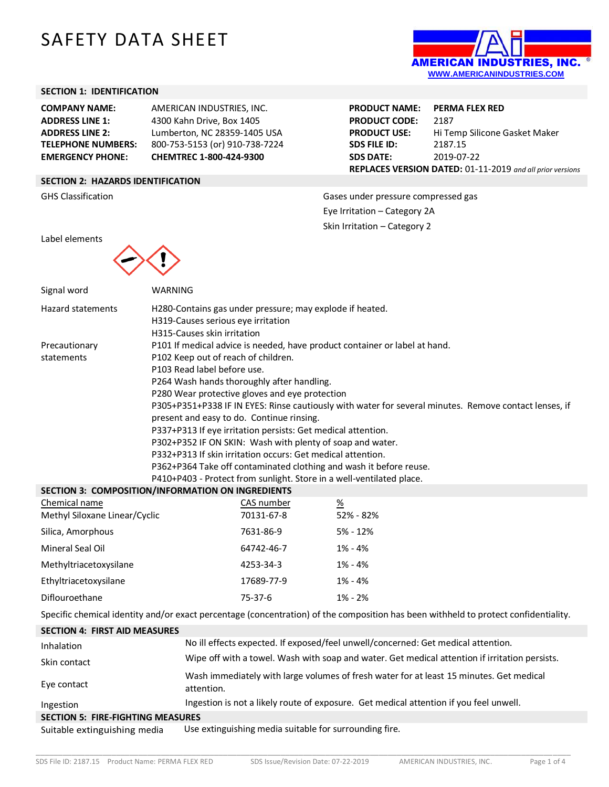# SAFETY DATA SHEET



### **SECTION 1: IDENTIFICATION**

**COMPANY NAME:** AMERICAN INDUSTRIES, INC. **ADDRESS LINE 1:** 4300 Kahn Drive, Box 1405 **ADDRESS LINE 2:** Lumberton, NC 28359-1405 USA **TELEPHONE NUMBERS:** 800-753-5153 (or) 910-738-7224 **EMERGENCY PHONE: CHEMTREC 1-800-424-9300**

**PRODUCT NAME: PERMA FLEX RED** PRODUCT CODE: 2187 **PRODUCT USE:** Hi Temp Silicone Gasket Maker **SDS FILE ID:** 2187.15 **SDS DATE:** 2019-07-22 **REPLACES VERSION DATED:** 01-11-2019 *and all prior versions*

# **SECTION 2: HAZARDS IDENTIFICATION**

GHS Classification GHS Classification Gases under pressure compressed gas Eye Irritation – Category 2A Skin Irritation – Category 2

Label elements



| Signal word                                                                                                                         | WARNING    |                                                                                                                                                                                                                                                                                 |                 |  |  |  |
|-------------------------------------------------------------------------------------------------------------------------------------|------------|---------------------------------------------------------------------------------------------------------------------------------------------------------------------------------------------------------------------------------------------------------------------------------|-----------------|--|--|--|
| <b>Hazard statements</b>                                                                                                            |            | H280-Contains gas under pressure; may explode if heated.                                                                                                                                                                                                                        |                 |  |  |  |
|                                                                                                                                     |            | H319-Causes serious eye irritation                                                                                                                                                                                                                                              |                 |  |  |  |
|                                                                                                                                     |            | H315-Causes skin irritation                                                                                                                                                                                                                                                     |                 |  |  |  |
| Precautionary<br>statements                                                                                                         |            | P101 If medical advice is needed, have product container or label at hand.<br>P102 Keep out of reach of children.                                                                                                                                                               |                 |  |  |  |
|                                                                                                                                     |            | P103 Read label before use.                                                                                                                                                                                                                                                     |                 |  |  |  |
|                                                                                                                                     |            | P264 Wash hands thoroughly after handling.                                                                                                                                                                                                                                      |                 |  |  |  |
|                                                                                                                                     |            | P280 Wear protective gloves and eye protection                                                                                                                                                                                                                                  |                 |  |  |  |
|                                                                                                                                     |            | P305+P351+P338 IF IN EYES: Rinse cautiously with water for several minutes. Remove contact lenses, if<br>present and easy to do. Continue rinsing.<br>P337+P313 If eye irritation persists: Get medical attention.<br>P302+P352 IF ON SKIN: Wash with plenty of soap and water. |                 |  |  |  |
|                                                                                                                                     |            |                                                                                                                                                                                                                                                                                 |                 |  |  |  |
|                                                                                                                                     |            |                                                                                                                                                                                                                                                                                 |                 |  |  |  |
|                                                                                                                                     |            |                                                                                                                                                                                                                                                                                 |                 |  |  |  |
|                                                                                                                                     |            | P332+P313 If skin irritation occurs: Get medical attention.                                                                                                                                                                                                                     |                 |  |  |  |
|                                                                                                                                     |            | P362+P364 Take off contaminated clothing and wash it before reuse.<br>P410+P403 - Protect from sunlight. Store in a well-ventilated place.                                                                                                                                      |                 |  |  |  |
| <b>SECTION 3: COMPOSITION/INFORMATION ON INGREDIENTS</b>                                                                            |            |                                                                                                                                                                                                                                                                                 |                 |  |  |  |
| Chemical name                                                                                                                       |            | CAS number                                                                                                                                                                                                                                                                      | $\frac{\%}{\%}$ |  |  |  |
| Methyl Siloxane Linear/Cyclic                                                                                                       |            | 70131-67-8                                                                                                                                                                                                                                                                      | 52% - 82%       |  |  |  |
| Silica, Amorphous                                                                                                                   |            | 7631-86-9                                                                                                                                                                                                                                                                       | $5% - 12%$      |  |  |  |
| Mineral Seal Oil                                                                                                                    |            | 64742-46-7                                                                                                                                                                                                                                                                      | $1\% - 4\%$     |  |  |  |
| Methyltriacetoxysilane                                                                                                              |            | 4253-34-3                                                                                                                                                                                                                                                                       | $1\% - 4\%$     |  |  |  |
| Ethyltriacetoxysilane                                                                                                               |            | 17689-77-9                                                                                                                                                                                                                                                                      | $1\% - 4\%$     |  |  |  |
| Diflouroethane                                                                                                                      |            | $75-37-6$                                                                                                                                                                                                                                                                       | $1\% - 2\%$     |  |  |  |
| Specific chemical identity and/or exact percentage (concentration) of the composition has been withheld to protect confidentiality. |            |                                                                                                                                                                                                                                                                                 |                 |  |  |  |
| <b>SECTION 4: FIRST AID MEASURES</b>                                                                                                |            |                                                                                                                                                                                                                                                                                 |                 |  |  |  |
| Inhalation                                                                                                                          |            | No ill effects expected. If exposed/feel unwell/concerned: Get medical attention.                                                                                                                                                                                               |                 |  |  |  |
| Skin contact                                                                                                                        |            | Wipe off with a towel. Wash with soap and water. Get medical attention if irritation persists.                                                                                                                                                                                  |                 |  |  |  |
| Eye contact                                                                                                                         | attention. | Wash immediately with large volumes of fresh water for at least 15 minutes. Get medical                                                                                                                                                                                         |                 |  |  |  |

Ingestion Ingestion is not a likely route of exposure. Get medical attention if you feel unwell.

**SECTION 5: FIRE-FIGHTING MEASURES**

Suitable extinguishing media Use extinguishing media suitable for surrounding fire.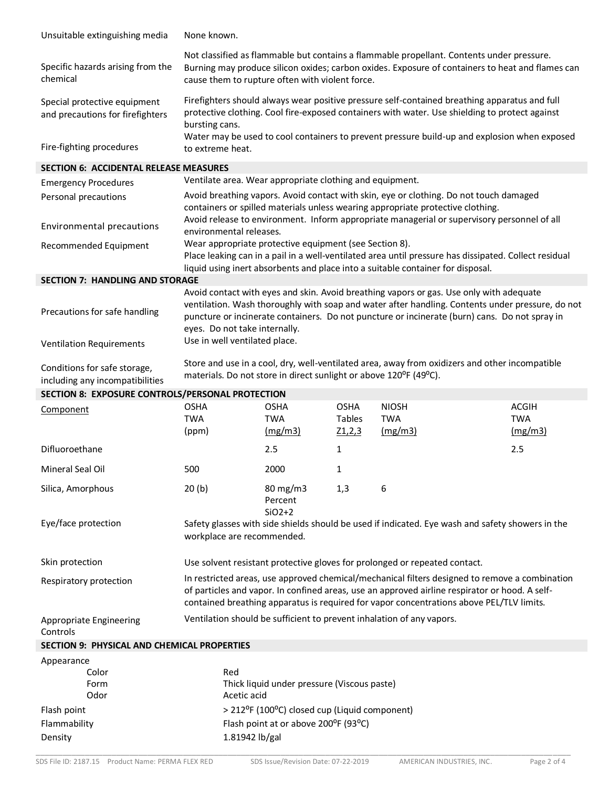| Unsuitable extinguishing media                                   | None known.                                                                                                                                                                                                                                                                                  |                       |                  |                       |                                                                                         |
|------------------------------------------------------------------|----------------------------------------------------------------------------------------------------------------------------------------------------------------------------------------------------------------------------------------------------------------------------------------------|-----------------------|------------------|-----------------------|-----------------------------------------------------------------------------------------|
| Specific hazards arising from the<br>chemical                    | Not classified as flammable but contains a flammable propellant. Contents under pressure.<br>Burning may produce silicon oxides; carbon oxides. Exposure of containers to heat and flames can<br>cause them to rupture often with violent force.                                             |                       |                  |                       |                                                                                         |
| Special protective equipment<br>and precautions for firefighters | Firefighters should always wear positive pressure self-contained breathing apparatus and full<br>protective clothing. Cool fire-exposed containers with water. Use shielding to protect against<br>bursting cans.                                                                            |                       |                  |                       |                                                                                         |
| Fire-fighting procedures                                         | Water may be used to cool containers to prevent pressure build-up and explosion when exposed<br>to extreme heat.                                                                                                                                                                             |                       |                  |                       |                                                                                         |
| <b>SECTION 6: ACCIDENTAL RELEASE MEASURES</b>                    |                                                                                                                                                                                                                                                                                              |                       |                  |                       |                                                                                         |
| <b>Emergency Procedures</b>                                      | Ventilate area. Wear appropriate clothing and equipment.                                                                                                                                                                                                                                     |                       |                  |                       |                                                                                         |
| Personal precautions                                             | Avoid breathing vapors. Avoid contact with skin, eye or clothing. Do not touch damaged<br>containers or spilled materials unless wearing appropriate protective clothing.<br>Avoid release to environment. Inform appropriate managerial or supervisory personnel of all                     |                       |                  |                       |                                                                                         |
| Environmental precautions                                        | environmental releases.                                                                                                                                                                                                                                                                      |                       |                  |                       |                                                                                         |
| Recommended Equipment                                            | Wear appropriate protective equipment (see Section 8).<br>Place leaking can in a pail in a well-ventilated area until pressure has dissipated. Collect residual<br>liquid using inert absorbents and place into a suitable container for disposal.                                           |                       |                  |                       |                                                                                         |
| <b>SECTION 7: HANDLING AND STORAGE</b>                           |                                                                                                                                                                                                                                                                                              |                       |                  |                       |                                                                                         |
|                                                                  |                                                                                                                                                                                                                                                                                              |                       |                  |                       | Avoid contact with eyes and skin. Avoid breathing vapors or gas. Use only with adequate |
| Precautions for safe handling                                    | ventilation. Wash thoroughly with soap and water after handling. Contents under pressure, do not<br>puncture or incinerate containers. Do not puncture or incinerate (burn) cans. Do not spray in<br>eyes. Do not take internally.                                                           |                       |                  |                       |                                                                                         |
| <b>Ventilation Requirements</b>                                  | Use in well ventilated place.                                                                                                                                                                                                                                                                |                       |                  |                       |                                                                                         |
| Conditions for safe storage,<br>including any incompatibilities  | Store and use in a cool, dry, well-ventilated area, away from oxidizers and other incompatible<br>materials. Do not store in direct sunlight or above 120°F (49°C).                                                                                                                          |                       |                  |                       |                                                                                         |
| SECTION 8: EXPOSURE CONTROLS/PERSONAL PROTECTION                 |                                                                                                                                                                                                                                                                                              |                       |                  |                       |                                                                                         |
| Component                                                        | <b>OSHA</b>                                                                                                                                                                                                                                                                                  | <b>OSHA</b>           | <b>OSHA</b>      | <b>NIOSH</b>          | <b>ACGIH</b>                                                                            |
|                                                                  | <b>TWA</b><br>(ppm)                                                                                                                                                                                                                                                                          | <b>TWA</b><br>(mg/m3) | Tables<br>Z1,2,3 | <b>TWA</b><br>(mg/m3) | <b>TWA</b><br>(mg/m3)                                                                   |
| Difluoroethane                                                   |                                                                                                                                                                                                                                                                                              | 2.5                   | $\mathbf{1}$     |                       | 2.5                                                                                     |
| Mineral Seal Oil                                                 | 500                                                                                                                                                                                                                                                                                          | 2000                  | 1                |                       |                                                                                         |
| Silica, Amorphous                                                | 20(b)                                                                                                                                                                                                                                                                                        | 80 mg/m3<br>Percent   | 1,3              | 6                     |                                                                                         |
| Eye/face protection                                              | $SiO2+2$<br>Safety glasses with side shields should be used if indicated. Eye wash and safety showers in the<br>workplace are recommended.                                                                                                                                                   |                       |                  |                       |                                                                                         |
| Skin protection                                                  | Use solvent resistant protective gloves for prolonged or repeated contact.                                                                                                                                                                                                                   |                       |                  |                       |                                                                                         |
| Respiratory protection                                           | In restricted areas, use approved chemical/mechanical filters designed to remove a combination<br>of particles and vapor. In confined areas, use an approved airline respirator or hood. A self-<br>contained breathing apparatus is required for vapor concentrations above PEL/TLV limits. |                       |                  |                       |                                                                                         |
| <b>Appropriate Engineering</b><br>Controls                       | Ventilation should be sufficient to prevent inhalation of any vapors.                                                                                                                                                                                                                        |                       |                  |                       |                                                                                         |
| <b>SECTION 9: PHYSICAL AND CHEMICAL PROPERTIES</b>               |                                                                                                                                                                                                                                                                                              |                       |                  |                       |                                                                                         |
| Appearance                                                       |                                                                                                                                                                                                                                                                                              |                       |                  |                       |                                                                                         |
| Color                                                            | Red                                                                                                                                                                                                                                                                                          |                       |                  |                       |                                                                                         |
| Form<br>Odor                                                     | Thick liquid under pressure (Viscous paste)<br>Acetic acid                                                                                                                                                                                                                                   |                       |                  |                       |                                                                                         |
| Flash point                                                      | > 212°F (100°C) closed cup (Liquid component)                                                                                                                                                                                                                                                |                       |                  |                       |                                                                                         |
| Flammability                                                     | Flash point at or above 200°F (93°C)                                                                                                                                                                                                                                                         |                       |                  |                       |                                                                                         |
| Density                                                          | 1.81942 lb/gal                                                                                                                                                                                                                                                                               |                       |                  |                       |                                                                                         |
|                                                                  |                                                                                                                                                                                                                                                                                              |                       |                  |                       |                                                                                         |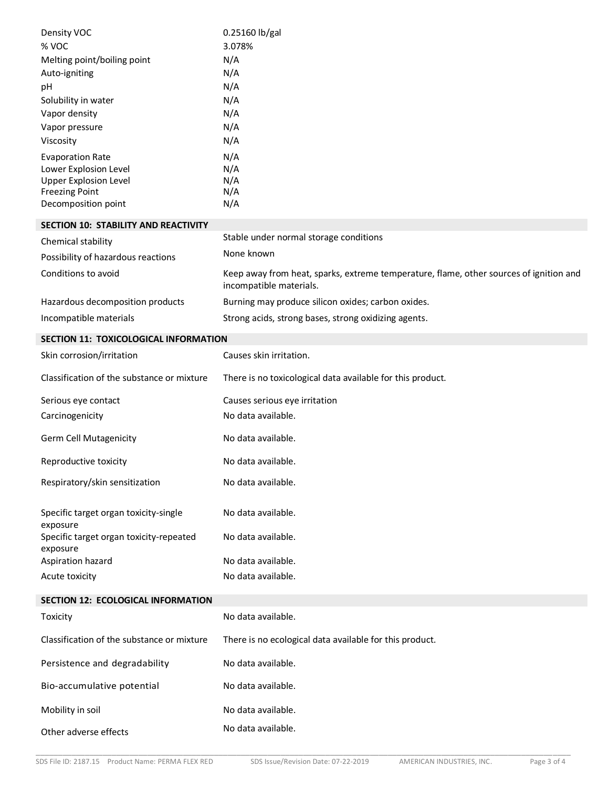| Density VOC                                                                                                                      | 0.25160 lb/gal                                                                                                    |  |
|----------------------------------------------------------------------------------------------------------------------------------|-------------------------------------------------------------------------------------------------------------------|--|
| % VOC                                                                                                                            | 3.078%                                                                                                            |  |
| Melting point/boiling point                                                                                                      | N/A                                                                                                               |  |
| Auto-igniting                                                                                                                    | N/A                                                                                                               |  |
| рH                                                                                                                               | N/A                                                                                                               |  |
| Solubility in water                                                                                                              | N/A                                                                                                               |  |
| Vapor density                                                                                                                    | N/A                                                                                                               |  |
| Vapor pressure                                                                                                                   | N/A                                                                                                               |  |
| Viscosity                                                                                                                        | N/A                                                                                                               |  |
| <b>Evaporation Rate</b><br>Lower Explosion Level<br><b>Upper Explosion Level</b><br><b>Freezing Point</b><br>Decomposition point | N/A<br>N/A<br>N/A<br>N/A<br>N/A                                                                                   |  |
| SECTION 10: STABILITY AND REACTIVITY                                                                                             |                                                                                                                   |  |
| Chemical stability                                                                                                               | Stable under normal storage conditions                                                                            |  |
| Possibility of hazardous reactions                                                                                               | None known                                                                                                        |  |
| Conditions to avoid                                                                                                              | Keep away from heat, sparks, extreme temperature, flame, other sources of ignition and<br>incompatible materials. |  |
| Hazardous decomposition products                                                                                                 | Burning may produce silicon oxides; carbon oxides.                                                                |  |
| Incompatible materials                                                                                                           | Strong acids, strong bases, strong oxidizing agents.                                                              |  |
|                                                                                                                                  |                                                                                                                   |  |
| SECTION 11: TOXICOLOGICAL INFORMATION                                                                                            |                                                                                                                   |  |
| Skin corrosion/irritation                                                                                                        | Causes skin irritation.                                                                                           |  |
| Classification of the substance or mixture                                                                                       | There is no toxicological data available for this product.                                                        |  |
| Serious eye contact                                                                                                              | Causes serious eye irritation                                                                                     |  |
| Carcinogenicity                                                                                                                  | No data available.                                                                                                |  |
| Germ Cell Mutagenicity                                                                                                           | No data available.                                                                                                |  |
| Reproductive toxicity                                                                                                            | No data available.                                                                                                |  |
| Respiratory/skin sensitization                                                                                                   | No data available.                                                                                                |  |
| Specific target organ toxicity-single<br>exposure                                                                                | No data available.                                                                                                |  |
| Specific target organ toxicity-repeated<br>exposure                                                                              | No data available.                                                                                                |  |
| Aspiration hazard                                                                                                                | No data available.                                                                                                |  |
| Acute toxicity                                                                                                                   | No data available.                                                                                                |  |
| SECTION 12: ECOLOGICAL INFORMATION                                                                                               |                                                                                                                   |  |
| Toxicity                                                                                                                         | No data available.                                                                                                |  |
| Classification of the substance or mixture                                                                                       | There is no ecological data available for this product.                                                           |  |
| Persistence and degradability                                                                                                    | No data available.                                                                                                |  |
| Bio-accumulative potential                                                                                                       | No data available.                                                                                                |  |
| Mobility in soil                                                                                                                 | No data available.                                                                                                |  |
| Other adverse effects                                                                                                            | No data available.                                                                                                |  |